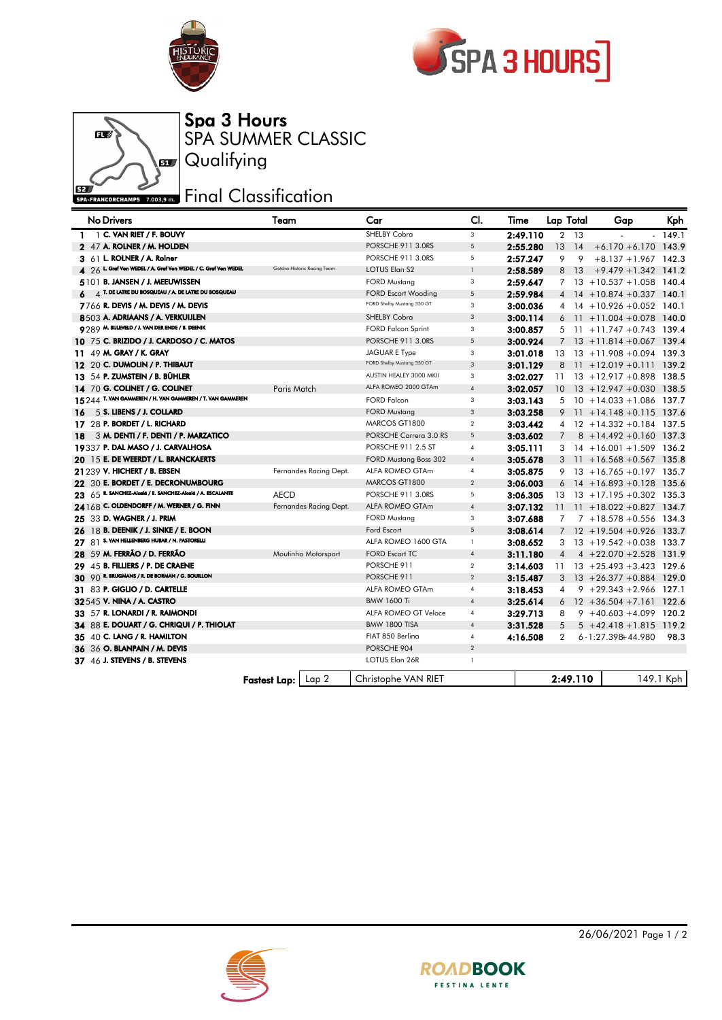

ßV

Œ



Spa 3 Hours

**Qualifying** 

SPA SUMMER CLASSIC

## **EZA FRANCORCHAMPS 7.003,9 mm** Final Classification

| <b>No Drivers</b>                                              | Team                 |                             | Car                          | CI.            | Time     |                | Lap Total | Gap                                       | Kph       |
|----------------------------------------------------------------|----------------------|-----------------------------|------------------------------|----------------|----------|----------------|-----------|-------------------------------------------|-----------|
| $1 \t 1$ C. VAN RIET / F. BOUVY                                |                      |                             | <b>SHELBY Cobra</b>          | 3              | 2:49.110 |                | $2 \t13$  |                                           | $-149.1$  |
| 2 47 A. ROLNER / M. HOLDEN                                     |                      |                             | PORSCHE 911 3.0RS            | 5              | 2:55.280 | 13             | - 14      | $+6.170 + 6.170$ 143.9                    |           |
| 3 61 L. ROLNER / A. Roiner                                     |                      |                             | PORSCHE 911 3.0RS            | 5              | 2:57.247 | 9              | 9         | $+8.137 + 1.967$ 142.3                    |           |
| 4 26 L. Graf Von WEDEL / A. Graf Von WEDEL / C. Graf Von WEDEL |                      | Gotcha Historic Racing Team | LOTUS Elan S2                | $\overline{1}$ | 2:58.589 |                | 8 13      | $+9.479 + 1.342$ 141.2                    |           |
| 5101 B. JANSEN / J. MEEUWISSEN                                 |                      |                             | <b>FORD Mustang</b>          | 3              | 2:59.647 |                |           | $7$ 13 + 10.537 + 1.058 140.4             |           |
| $4$ T. De latre du bosqueau / A. De latre du bosqueau<br>6     |                      |                             | <b>FORD Escort Wooding</b>   | 5              | 2:59.984 |                |           | $4$ 14 + 10.874 + 0.337 140.1             |           |
| 7766 R. DEVIS / M. DEVIS / M. DEVIS                            |                      |                             | FORD Shelby Mustang 350 GT   | 3              | 3:00.036 | 4              |           | $14 + 10.926 + 0.052$ 140.1               |           |
| 8503 A. ADRIAANS / A. VERKUIJLEN                               |                      |                             | <b>SHELBY Cobra</b>          | 3              | 3:00.114 |                |           | $6$ 11 +11.004 +0.078 140.0               |           |
| 9789 M. BIJLEVELD / J. VAN DER ENDE / B. DEENIK                |                      |                             | <b>FORD Falcon Sprint</b>    | 3              | 3:00.857 |                |           | $5$ 11 $+11.747 + 0.743$ 139.4            |           |
| 10 75 C. BRIZIDO / J. CARDOSO / C. MATOS                       |                      |                             | PORSCHE 911 3.0RS            | $\sqrt{5}$     | 3:00.924 |                |           | $7$ 13 + 11.814 + 0.067 139.4             |           |
| 11 49 M. GRAY / K. GRAY                                        |                      |                             | <b>JAGUAR E Type</b>         | 3              | 3:01.018 | 13             |           | $13 + 11.908 + 0.094$ 139.3               |           |
| 12 20 C. DUMOLIN / P. THIBAUT                                  |                      |                             | FORD Shelby Mustang 350 GT   | 3              | 3:01.129 | 8              |           | $11 + 12.019 + 0.111$ 139.2               |           |
| 13 54 P. ZUMSTEIN / B. BÜHLER                                  |                      |                             | AUSTIN HEALEY 3000 MKII      | 3              | 3:02.027 | 11             |           | $13 + 12.917 + 0.898$ 138.5               |           |
| 14 70 G. COLINET / G. COLINET                                  | Paris Match          |                             | ALFA ROMEO 2000 GTAm         | $\overline{4}$ | 3:02.057 | 10             |           | $13 + 12.947 + 0.030$ 138.5               |           |
| 15244 T. VAN GAMMEREN / H. VAN GAMMEREN / T. VAN GAMMEREN      |                      |                             | <b>FORD Falcon</b>           | 3              | 3:03.143 |                |           | $5$ 10 +14.033 +1.086 137.7               |           |
| 5 S. LIBENS / J. COLLARD<br>16.                                |                      |                             | <b>FORD Mustang</b>          | $\sqrt{3}$     | 3:03.258 |                |           | $9$ 11 + 14.148 + 0.115 137.6             |           |
| 17 28 P. BORDET / L. RICHARD                                   |                      |                             | MARCOS GT1800                | $\overline{2}$ | 3:03.442 |                |           | 4 12 +14.332 +0.184 137.5                 |           |
| 3 M. DENTI / F. DENTI / P. MARZATICO<br>18                     |                      |                             | PORSCHE Carrera 3.0 RS       | 5              | 3:03.602 |                |           | $7 \quad 8 + 14.492 + 0.160 \quad 137.3$  |           |
| 19337 P. DAL MASO / J. CARVALHOSA                              |                      |                             | PORSCHE 911 2.5 ST           | $\overline{4}$ | 3:05.111 | 3              |           | $14 + 16.001 + 1.509$ 136.2               |           |
| 20 15 E. DE WEERDT / L. BRANCKAERTS                            |                      |                             | <b>FORD Mustang Boss 302</b> | $\overline{4}$ | 3:05.678 |                |           | $3 \quad 11 + 16.568 + 0.567 \quad 135.8$ |           |
| 21 239 V. HICHERT / B. EBSEN                                   |                      | Fernandes Racing Dept.      | <b>ALFA ROMEO GTAm</b>       | $\overline{4}$ | 3:05.875 | 9              |           | $13 + 16.765 + 0.197$ 135.7               |           |
| 22 30 E. BORDET / E. DECRONUMBOURG                             |                      |                             | MARCOS GT1800                | $\sqrt{2}$     | 3:06.003 |                |           | $6$ 14 + 16.893 + 0.128 135.6             |           |
| 23 65 R. SANCHEZ-Alogiá / E. SANCHEZ-Alogiá / A. ESCALANTE     | <b>AECD</b>          |                             | PORSCHE 911 3.0RS            | 5              | 3:06.305 | 13             |           | $13 + 17.195 + 0.302$ 135.3               |           |
| 24168 C. OLDENDORFF / M. WERNER / G. FINN                      |                      | Fernandes Racing Dept.      | <b>ALFA ROMEO GTAm</b>       | $\overline{4}$ | 3:07.132 | 11             |           | $11 + 18.022 + 0.827$ 134.7               |           |
| 25 33 D. WAGNER / J. PRIM                                      |                      |                             | <b>FORD Mustang</b>          | 3              | 3:07.688 | 7              |           | $7 + 18.578 + 0.556$ 134.3                |           |
| 26 18 B. DEENIK / J. SINKE / E. BOON                           |                      |                             | Ford Escort                  | $\overline{5}$ | 3:08.614 | $\overline{7}$ |           | $12 + 19.504 + 0.926$ 133.7               |           |
| 27 81 S. VAN HELLENBERG HUBAR / N. PASTORELLI                  |                      |                             | ALFA ROMEO 1600 GTA          | $\mathbf{1}$   | 3:08.652 | 3              |           | $13 + 19.542 + 0.038$ 133.7               |           |
| 28 59 M. FERRÃO / D. FERRÃO                                    |                      | Moutinho Motorsport         | <b>FORD Escort TC</b>        | $\overline{4}$ | 3:11.180 | $\overline{4}$ |           | $4 + 22.070 + 2.528$ 131.9                |           |
| 29 45 B. FILLIERS / P. DE CRAENE                               |                      |                             | PORSCHE 911                  | $\overline{2}$ | 3:14.603 | 11             |           | $13 + 25.493 + 3.423$ 129.6               |           |
| 30 90 R. BRUGMANS / R. DE BORMAN / G. BOUILLON                 |                      |                             | PORSCHE 911                  | $\overline{2}$ | 3:15.487 | 3              |           | $13 + 26.377 + 0.884$ 129.0               |           |
| 31 83 P. GIGLIO / D. CARTELLE                                  |                      |                             | ALFA ROMEO GTAm              | $\overline{4}$ | 3:18.453 | 4              |           | $9 + 29.343 + 2.966$ 127.1                |           |
| 32545 V. NINA / A. CASTRO                                      |                      |                             | <b>BMW 1600 Ti</b>           | $\overline{4}$ | 3:25.614 | 6              |           | $12 + 36.504 + 7.161$ 122.6               |           |
| 33 57 R. LONARDI / R. RAIMONDI                                 |                      |                             | ALFA ROMEO GT Veloce         | $\overline{4}$ | 3:29.713 | 8              |           | $9 + 40.603 + 4.099$ 120.2                |           |
| 34 88 E. DOUART / G. CHRIQUI / P. THIOLAT                      |                      |                             | <b>BMW 1800 TISA</b>         | $\overline{4}$ | 3:31.528 | 5              |           | $5 + 42.418 + 1.815$ 119.2                |           |
| 35 40 C. LANG / R. HAMILTON                                    |                      |                             | FIAT 850 Berlina             | $\overline{4}$ | 4:16.508 | 2              |           | 6-1:27.398+44.980                         | 98.3      |
| 36 36 O. BLANPAIN / M. DEVIS                                   |                      |                             | PORSCHE 904                  | $\sqrt{2}$     |          |                |           |                                           |           |
| 37 46 J. STEVENS / B. STEVENS                                  |                      |                             | LOTUS Elan 26R               | $\mathbf{1}$   |          |                |           |                                           |           |
|                                                                | Fastest Lap:   Lap 2 |                             | Christophe VAN RIET          |                |          |                | 2:49.110  |                                           | 149.1 Kph |